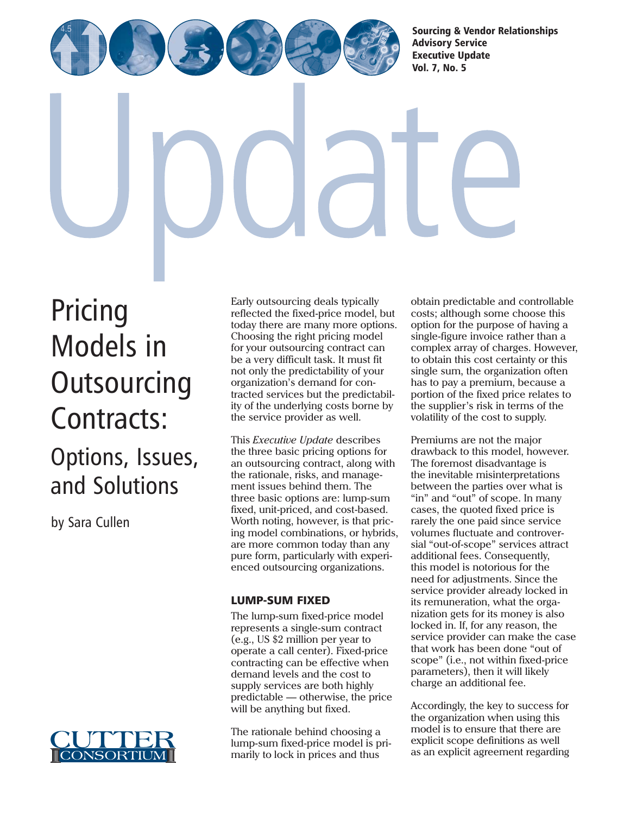[Sourcing & Vendor Relationships](http://www.cutter.com)  Advisory Service Executive Update Vol. 7, No. 5

Pricing Models in **[Outsourcing](http://www.cutter.com)** Contracts: Options, Issues, and Solutions

by Sara Cullen



Early outsourcing deals typically reflected the fixed-price model, but today there are many more options. Choosing the right pricing model for your outsourcing contract can be a very difficult task. It must fit not only the predictability of your organization's demand for contracted services but the predictability of the underlying costs borne by the service provider as well.

This *Executive Update* describes the three basic pricing options for an outsourcing contract, along with the rationale, risks, and management issues behind them. The three basic options are: lump-sum fixed, unit-priced, and cost-based. Worth noting, however, is that pricing model combinations, or hybrids, are more common today than any pure form, particularly with experienced outsourcing organizations.

## LUMP-SUM FIXED

The lump-sum fixed-price model represents a single-sum contract (e.g., US \$2 million per year to operate a call center). Fixed-price contracting can be effective when demand levels and the cost to supply services are both highly predictable — otherwise, the price will be anything but fixed.

The rationale behind choosing a lump-sum fixed-price model is primarily to lock in prices and thus

obtain predictable and controllable costs; although some choose this option for the purpose of having a single-figure invoice rather than a complex array of charges. However, to obtain this cost certainty or this single sum, the organization often has to pay a premium, because a portion of the fixed price relates to the supplier's risk in terms of the volatility of the cost to supply.

Premiums are not the major drawback to this model, however. The foremost disadvantage is the inevitable misinterpretations between the parties over what is "in" and "out" of scope. In many cases, the quoted fixed price is rarely the one paid since service volumes fluctuate and controversial "out-of-scope" services attract additional fees. Consequently, this model is notorious for the need for adjustments. Since the service provider already locked in its remuneration, what the organization gets for its money is also locked in. If, for any reason, the service provider can make the case that work has been done "out of scope" (i.e., not within fixed-price parameters), then it will likely charge an additional fee.

Accordingly, the key to success for the organization when using this model is to ensure that there are explicit scope definitions as well as an explicit agreement regarding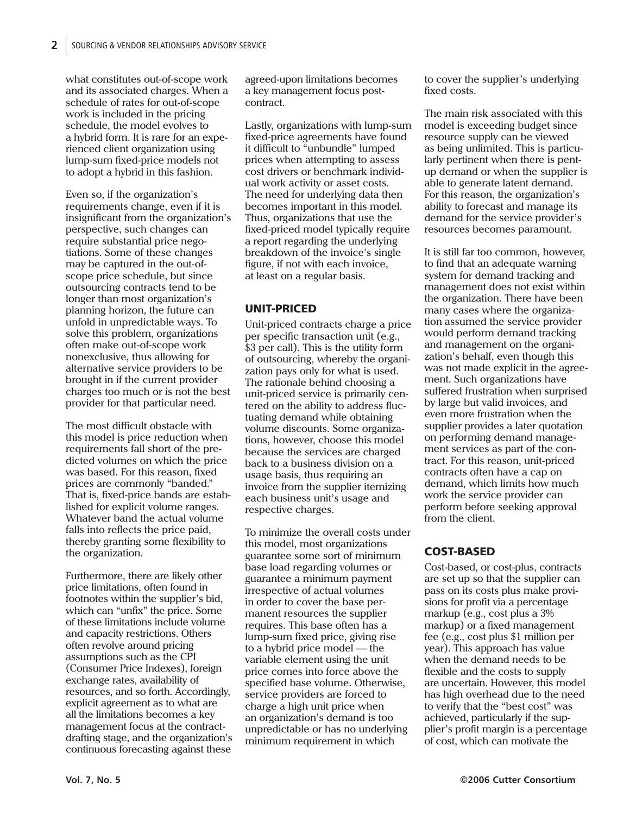what constitutes out-of-scope work and its associated charges. When a schedule of rates for out-of-scope work is included in the pricing schedule, the model evolves to a hybrid form. It is rare for an experienced client organization using lump-sum fixed-price models not to adopt a hybrid in this fashion.

Even so, if the organization's requirements change, even if it is insignificant from the organization's perspective, such changes can require substantial price negotiations. Some of these changes may be captured in the out-ofscope price schedule, but since outsourcing contracts tend to be longer than most organization's planning horizon, the future can unfold in unpredictable ways. To solve this problem, organizations often make out-of-scope work nonexclusive, thus allowing for alternative service providers to be brought in if the current provider charges too much or is not the best provider for that particular need.

The most difficult obstacle with this model is price reduction when requirements fall short of the predicted volumes on which the price was based. For this reason, fixed prices are commonly "banded." That is, fixed-price bands are established for explicit volume ranges. Whatever band the actual volume falls into reflects the price paid, thereby granting some flexibility to the organization.

Furthermore, there are likely other price limitations, often found in footnotes within the supplier's bid, which can "unfix" the price. Some of these limitations include volume and capacity restrictions. Others often revolve around pricing assumptions such as the CPI (Consumer Price Indexes), foreign exchange rates, availability of resources, and so forth. Accordingly, explicit agreement as to what are all the limitations becomes a key management focus at the contractdrafting stage, and the organization's continuous forecasting against these

agreed-upon limitations becomes a key management focus postcontract.

Lastly, organizations with lump-sum fixed-price agreements have found it difficult to "unbundle" lumped prices when attempting to assess cost drivers or benchmark individual work activity or asset costs. The need for underlying data then becomes important in this model. Thus, organizations that use the fixed-priced model typically require a report regarding the underlying breakdown of the invoice's single figure, if not with each invoice, at least on a regular basis.

## UNIT-PRICED

Unit-priced contracts charge a price per specific transaction unit (e.g., \$3 per call). This is the utility form of outsourcing, whereby the organization pays only for what is used. The rationale behind choosing a unit-priced service is primarily centered on the ability to address fluctuating demand while obtaining volume discounts. Some organizations, however, choose this model because the services are charged back to a business division on a usage basis, thus requiring an invoice from the supplier itemizing each business unit's usage and respective charges.

To minimize the overall costs under this model, most organizations guarantee some sort of minimum base load regarding volumes or guarantee a minimum payment irrespective of actual volumes in order to cover the base permanent resources the supplier requires. This base often has a lump-sum fixed price, giving rise to a hybrid price model — the variable element using the unit price comes into force above the specified base volume. Otherwise, service providers are forced to charge a high unit price when an organization's demand is too unpredictable or has no underlying minimum requirement in which

to cover the supplier's underlying fixed costs.

The main risk associated with this model is exceeding budget since resource supply can be viewed as being unlimited. This is particularly pertinent when there is pentup demand or when the supplier is able to generate latent demand. For this reason, the organization's ability to forecast and manage its demand for the service provider's resources becomes paramount.

It is still far too common, however, to find that an adequate warning system for demand tracking and management does not exist within the organization. There have been many cases where the organization assumed the service provider would perform demand tracking and management on the organization's behalf, even though this was not made explicit in the agreement. Such organizations have suffered frustration when surprised by large but valid invoices, and even more frustration when the supplier provides a later quotation on performing demand management services as part of the contract. For this reason, unit-priced contracts often have a cap on demand, which limits how much work the service provider can perform before seeking approval from the client.

# COST-BASED

Cost-based, or cost-plus, contracts are set up so that the supplier can pass on its costs plus make provisions for profit via a percentage markup (e.g., cost plus a 3% markup) or a fixed management fee (e.g., cost plus \$1 million per year). This approach has value when the demand needs to be flexible and the costs to supply are uncertain. However, this model has high overhead due to the need to verify that the "best cost" was achieved, particularly if the supplier's profit margin is a percentage of cost, which can motivate the